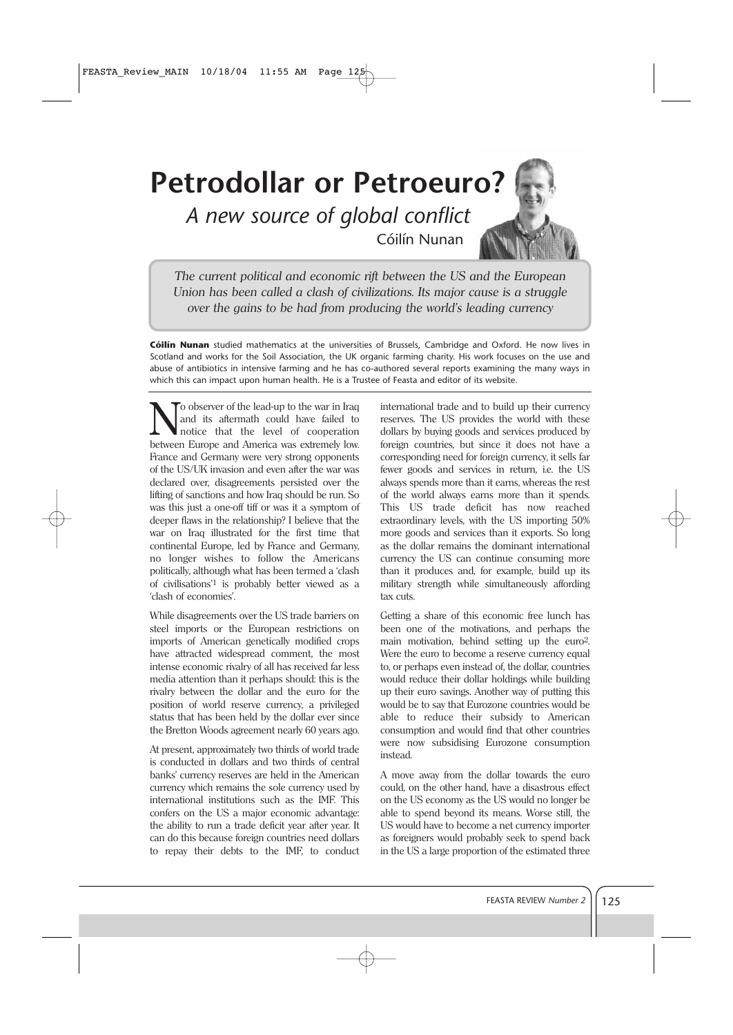## **Petrodollar or Petroeuro?**

*A new source of global conflict* Cóilín Nunan



*The current political and economic rift between the US and the European Union has been called a clash of civilizations. Its major cause is a struggle over the gains to be had from producing the world's leading currency* 

**Cóilín Nunan** studied mathematics at the universities of Brussels, Cambridge and Oxford. He now lives in Scotland and works for the Soil Association, the UK organic farming charity. His work focuses on the use and abuse of antibiotics in intensive farming and he has co-authored several reports examining the many ways in which this can impact upon human health. He is a Trustee of Feasta and editor of its website.

To observer of the lead-up to the war in Iraq and its aftermath could have failed to notice that the level of cooperation between Europe and America was extremely low. France and Germany were very strong opponents of the US/UK invasion and even after the war was declared over, disagreements persisted over the lifting of sanctions and how Iraq should be run. So was this just a one-off tiff or was it a symptom of deeper flaws in the relationship? I believe that the war on Iraq illustrated for the first time that continental Europe, led by France and Germany, no longer wishes to follow the Americans politically, although what has been termed a 'clash of civilisations'1 is probably better viewed as a 'clash of economies'.

While disagreements over the US trade barriers on steel imports or the European restrictions on imports of American genetically modified crops have attracted widespread comment, the most intense economic rivalry of all has received far less media attention than it perhaps should: this is the rivalry between the dollar and the euro for the position of world reserve currency, a privileged status that has been held by the dollar ever since the Bretton Woods agreement nearly 60 years ago.

At present, approximately two thirds of world trade is conducted in dollars and two thirds of central banks' currency reserves are held in the American currency which remains the sole currency used by international institutions such as the IMF. This confers on the US a major economic advantage: the ability to run a trade deficit year after year. It can do this because foreign countries need dollars to repay their debts to the IMF, to conduct international trade and to build up their currency reserves. The US provides the world with these dollars by buying goods and services produced by foreign countries, but since it does not have a corresponding need for foreign currency, it sells far fewer goods and services in return, i.e. the US always spends more than it earns, whereas the rest of the world always earns more than it spends. This US trade deficit has now reached extraordinary levels, with the US importing 50% more goods and services than it exports. So long as the dollar remains the dominant international currency the US can continue consuming more than it produces and, for example, build up its military strength while simultaneously affording tax cuts.

Getting a share of this economic free lunch has been one of the motivations, and perhaps the main motivation, behind setting up the euro2. Were the euro to become a reserve currency equal to, or perhaps even instead of, the dollar, countries would reduce their dollar holdings while building up their euro savings. Another way of putting this would be to say that Eurozone countries would be able to reduce their subsidy to American consumption and would find that other countries were now subsidising Eurozone consumption instead.

A move away from the dollar towards the euro could, on the other hand, have a disastrous effect on the US economy as the US would no longer be able to spend beyond its means. Worse still, the US would have to become a net currency importer as foreigners would probably seek to spend back in the US a large proportion of the estimated three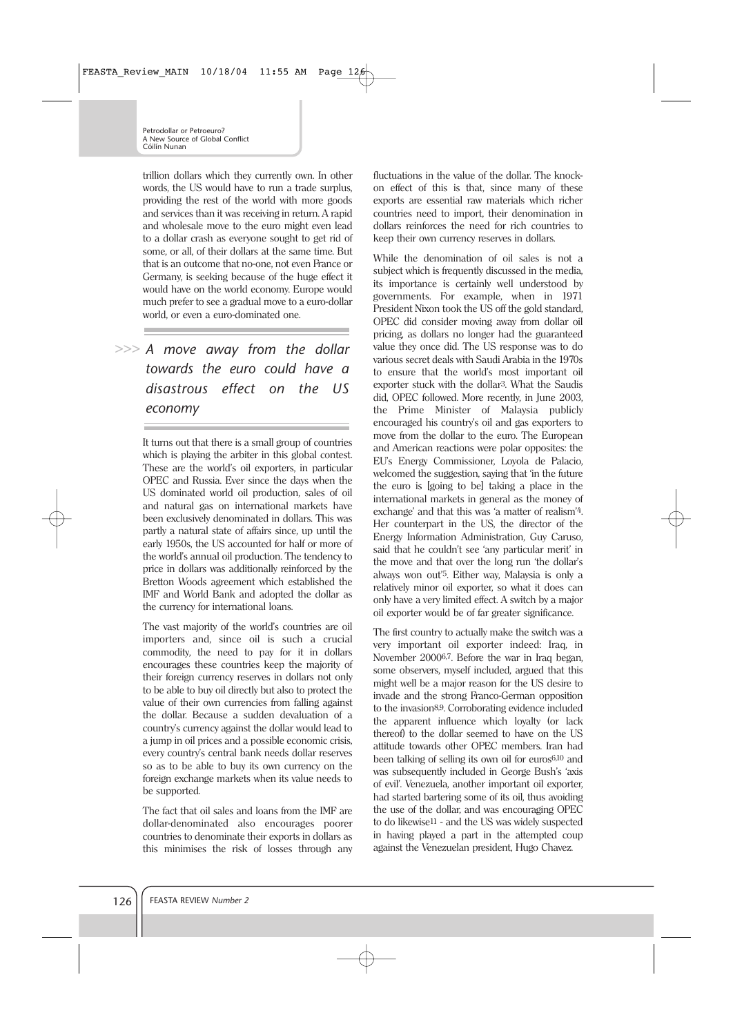trillion dollars which they currently own. In other words, the US would have to run a trade surplus, providing the rest of the world with more goods and services than it was receiving in return. A rapid and wholesale move to the euro might even lead to a dollar crash as everyone sought to get rid of some, or all, of their dollars at the same time. But that is an outcome that no-one, not even France or Germany, is seeking because of the huge effect it would have on the world economy. Europe would much prefer to see a gradual move to a euro-dollar world, or even a euro-dominated one.

## *A move away from the dollar* **>>>** *towards the euro could have a disastrous effect on the US economy*

It turns out that there is a small group of countries which is playing the arbiter in this global contest. These are the world's oil exporters, in particular OPEC and Russia. Ever since the days when the US dominated world oil production, sales of oil and natural gas on international markets have been exclusively denominated in dollars. This was partly a natural state of affairs since, up until the early 1950s, the US accounted for half or more of the world's annual oil production. The tendency to price in dollars was additionally reinforced by the Bretton Woods agreement which established the IMF and World Bank and adopted the dollar as the currency for international loans.

The vast majority of the world's countries are oil importers and, since oil is such a crucial commodity, the need to pay for it in dollars encourages these countries keep the majority of their foreign currency reserves in dollars not only to be able to buy oil directly but also to protect the value of their own currencies from falling against the dollar. Because a sudden devaluation of a country's currency against the dollar would lead to a jump in oil prices and a possible economic crisis, every country's central bank needs dollar reserves so as to be able to buy its own currency on the foreign exchange markets when its value needs to be supported.

The fact that oil sales and loans from the IMF are dollar-denominated also encourages poorer countries to denominate their exports in dollars as this minimises the risk of losses through any fluctuations in the value of the dollar. The knockon effect of this is that, since many of these exports are essential raw materials which richer countries need to import, their denomination in dollars reinforces the need for rich countries to keep their own currency reserves in dollars.

While the denomination of oil sales is not a subject which is frequently discussed in the media. its importance is certainly well understood by governments. For example, when in 1971 President Nixon took the US off the gold standard, OPEC did consider moving away from dollar oil pricing, as dollars no longer had the guaranteed value they once did. The US response was to do various secret deals with Saudi Arabia in the 1970s to ensure that the world's most important oil exporter stuck with the dollar3. What the Saudis did, OPEC followed. More recently, in June 2003, the Prime Minister of Malaysia publicly encouraged his country's oil and gas exporters to move from the dollar to the euro. The European and American reactions were polar opposites: the EU's Energy Commissioner, Loyola de Palacio, welcomed the suggestion, saying that 'in the future the euro is [going to be] taking a place in the international markets in general as the money of exchange' and that this was 'a matter of realism'4. Her counterpart in the US, the director of the Energy Information Administration, Guy Caruso, said that he couldn't see 'any particular merit' in the move and that over the long run 'the dollar's always won out'5. Either way, Malaysia is only a relatively minor oil exporter, so what it does can only have a very limited effect. A switch by a major oil exporter would be of far greater significance.

The first country to actually make the switch was a very important oil exporter indeed: Iraq, in November 20006,7. Before the war in Iraq began, some observers, myself included, argued that this might well be a major reason for the US desire to invade and the strong Franco-German opposition to the invasion8,9. Corroborating evidence included the apparent influence which loyalty (or lack thereof) to the dollar seemed to have on the US attitude towards other OPEC members. Iran had been talking of selling its own oil for euros6,10 and was subsequently included in George Bush's 'axis of evil'. Venezuela, another important oil exporter, had started bartering some of its oil, thus avoiding the use of the dollar, and was encouraging OPEC to do likewise11 - and the US was widely suspected in having played a part in the attempted coup against the Venezuelan president, Hugo Chavez.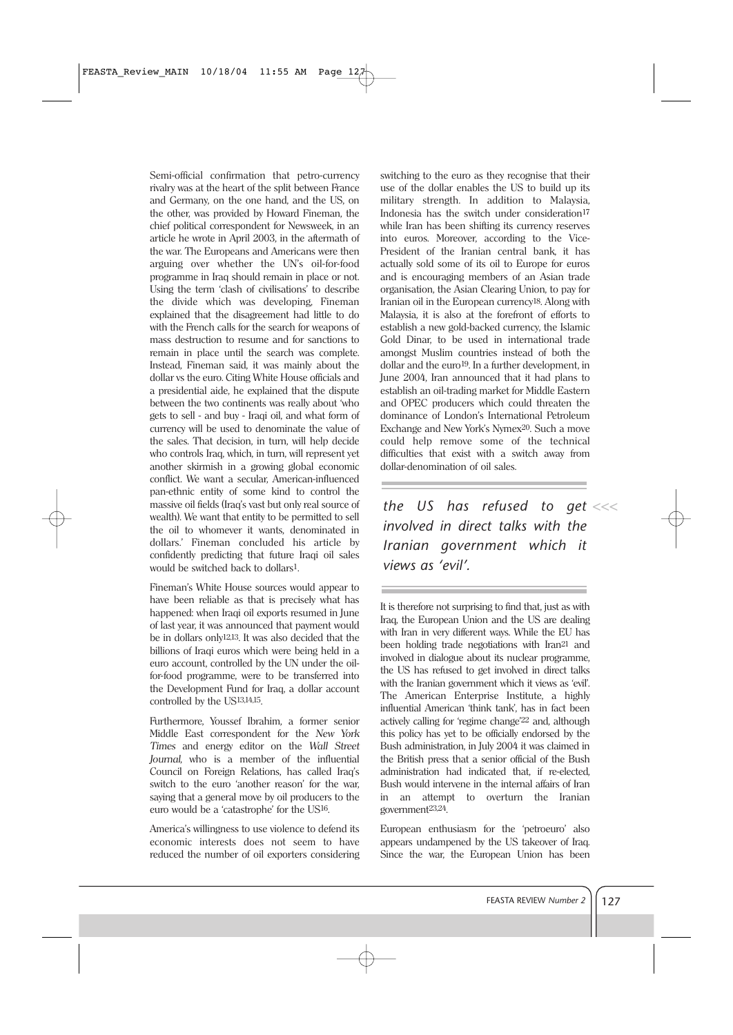Semi-official confirmation that petro-currency rivalry was at the heart of the split between France and Germany, on the one hand, and the US, on the other, was provided by Howard Fineman, the chief political correspondent for Newsweek, in an article he wrote in April 2003, in the aftermath of the war. The Europeans and Americans were then arguing over whether the UN's oil-for-food programme in Iraq should remain in place or not. Using the term 'clash of civilisations' to describe the divide which was developing, Fineman explained that the disagreement had little to do with the French calls for the search for weapons of mass destruction to resume and for sanctions to remain in place until the search was complete. Instead, Fineman said, it was mainly about the dollar vs the euro. Citing White House officials and a presidential aide, he explained that the dispute between the two continents was really about 'who gets to sell - and buy - Iraqi oil, and what form of currency will be used to denominate the value of the sales. That decision, in turn, will help decide who controls Iraq, which, in turn, will represent yet another skirmish in a growing global economic conflict. We want a secular, American-influenced pan-ethnic entity of some kind to control the massive oil fields (Iraq's vast but only real source of wealth). We want that entity to be permitted to sell the oil to whomever it wants, denominated in dollars.' Fineman concluded his article by confidently predicting that future Iraqi oil sales would be switched back to dollars1.

Fineman's White House sources would appear to have been reliable as that is precisely what has happened: when Iraqi oil exports resumed in June of last year, it was announced that payment would be in dollars only12,13. It was also decided that the billions of Iraqi euros which were being held in a euro account, controlled by the UN under the oilfor-food programme, were to be transferred into the Development Fund for Iraq, a dollar account controlled by the US13,14,15.

Furthermore, Youssef Ibrahim, a former senior Middle East correspondent for the *New York Times* and energy editor on the *Wall Street Journal*, who is a member of the influential Council on Foreign Relations, has called Iraq's switch to the euro 'another reason' for the war, saying that a general move by oil producers to the euro would be a 'catastrophe' for the US16.

America's willingness to use violence to defend its economic interests does not seem to have reduced the number of oil exporters considering switching to the euro as they recognise that their use of the dollar enables the US to build up its military strength. In addition to Malaysia, Indonesia has the switch under consideration<sup>17</sup> while Iran has been shifting its currency reserves into euros. Moreover, according to the Vice-President of the Iranian central bank, it has actually sold some of its oil to Europe for euros and is encouraging members of an Asian trade organisation, the Asian Clearing Union, to pay for Iranian oil in the European currency18. Along with Malaysia, it is also at the forefront of efforts to establish a new gold-backed currency, the Islamic Gold Dinar, to be used in international trade amongst Muslim countries instead of both the dollar and the euro19. In a further development, in June 2004, Iran announced that it had plans to establish an oil-trading market for Middle Eastern and OPEC producers which could threaten the dominance of London's International Petroleum Exchange and New York's Nymex20. Such a move could help remove some of the technical difficulties that exist with a switch away from dollar-denomination of oil sales.

*the US has refused to get* **<<<** *involved in direct talks with the Iranian government which it views as 'evil'.*

It is therefore not surprising to find that, just as with Iraq, the European Union and the US are dealing with Iran in very different ways. While the EU has been holding trade negotiations with Iran21 and involved in dialogue about its nuclear programme, the US has refused to get involved in direct talks with the Iranian government which it views as 'evil'. The American Enterprise Institute, a highly influential American 'think tank', has in fact been actively calling for 'regime change'22 and, although this policy has yet to be officially endorsed by the Bush administration, in July 2004 it was claimed in the British press that a senior official of the Bush administration had indicated that, if re-elected, Bush would intervene in the internal affairs of Iran in an attempt to overturn the Iranian government23,24.

European enthusiasm for the 'petroeuro' also appears undampened by the US takeover of Iraq. Since the war, the European Union has been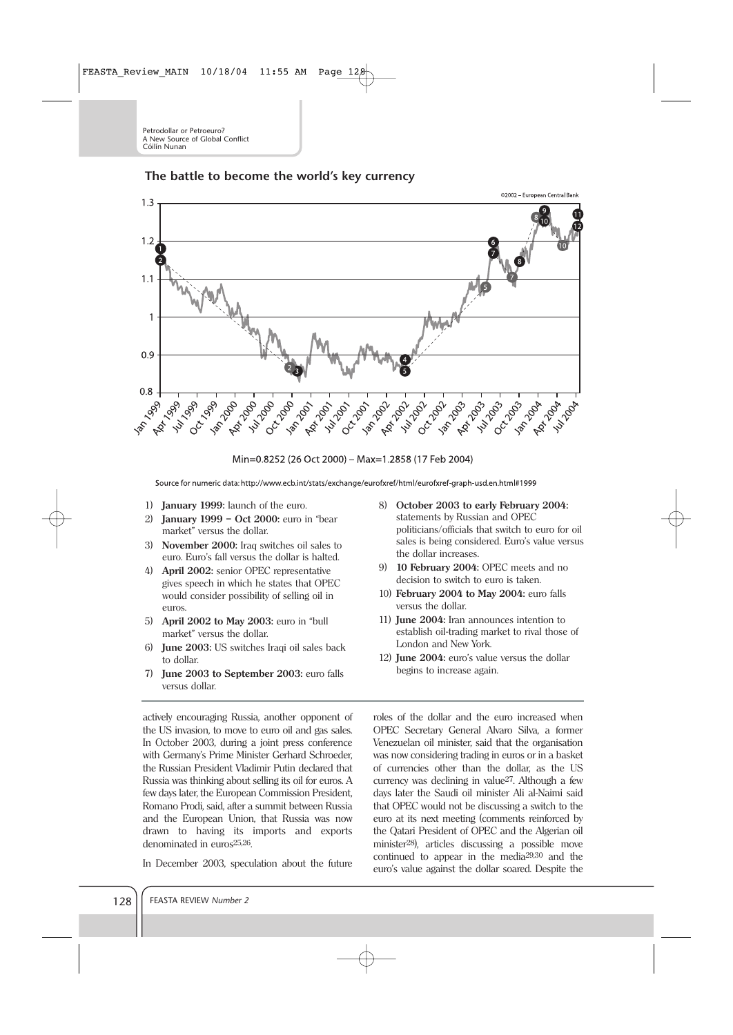## **The battle to become the world's key currency**



Min=0.8252 (26 Oct 2000) - Max=1.2858 (17 Feb 2004)

Source for numeric data: http://www.ecb.int/stats/exchange/eurofxref/html/eurofxref-graph-usd.en.html#1999

- 1) **January 1999:** launch of the euro.
- 2) **January 1999 Oct 2000:** euro in "bear market" versus the dollar.
- 3) **November 2000:** Iraq switches oil sales to euro. Euro's fall versus the dollar is halted.
- 4) **April 2002:** senior OPEC representative gives speech in which he states that OPEC would consider possibility of selling oil in euros.
- 5) **April 2002 to May 2003:** euro in "bull market" versus the dollar.
- 6) **June 2003:** US switches Iraqi oil sales back to dollar.
- 7) **June 2003 to September 2003:** euro falls versus dollar.

actively encouraging Russia, another opponent of the US invasion, to move to euro oil and gas sales. In October 2003, during a joint press conference with Germany's Prime Minister Gerhard Schroeder, the Russian President Vladimir Putin declared that Russia was thinking about selling its oil for euros. A few days later, the European Commission President, Romano Prodi, said, after a summit between Russia and the European Union, that Russia was now drawn to having its imports and exports denominated in euros25,26.

In December 2003, speculation about the future

- 8) **October 2003 to early February 2004:** statements by Russian and OPEC politicians/officials that switch to euro for oil sales is being considered. Euro's value versus the dollar increases.
- 9) **10 February 2004:** OPEC meets and no decision to switch to euro is taken.
- 10) **February 2004 to May 2004:** euro falls versus the dollar.
- 11) **June 2004:** Iran announces intention to establish oil-trading market to rival those of London and New York.
- 12) **June 2004:** euro's value versus the dollar begins to increase again.

roles of the dollar and the euro increased when OPEC Secretary General Alvaro Silva, a former Venezuelan oil minister, said that the organisation was now considering trading in euros or in a basket of currencies other than the dollar, as the US currency was declining in value27. Although a few days later the Saudi oil minister Ali al-Naimi said that OPEC would not be discussing a switch to the euro at its next meeting (comments reinforced by the Qatari President of OPEC and the Algerian oil minister28), articles discussing a possible move continued to appear in the media29,30 and the euro's value against the dollar soared. Despite the